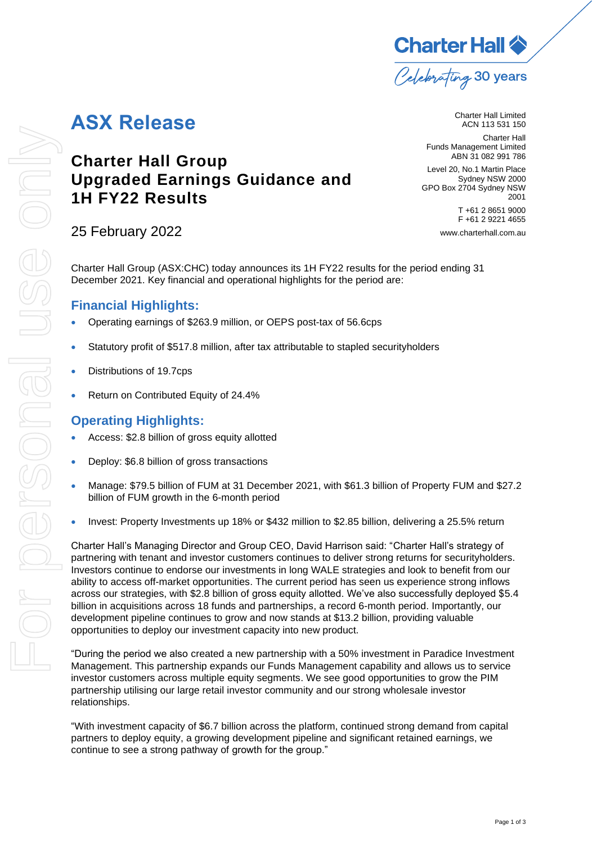

# **ASX Release**

**Charter Hall Group**

**1H FY22 Results**

**Upgraded Earnings Guidance and**  Funds Management Limited ABN 31 082 991 786

Level 20, No.1 Martin Place Sydney NSW 2000 GPO Box 2704 Sydney NSW 2001 T +61 2 8651 9000 F +61 2 9221 4655

[www.charterhall.com.au](file://///chsyfs03/X%20Drive/People,%20Brand%20and%20Community/Marketing%20and%20Communications/Communication%20&%20Media/ASX%20Templates/www.charterhall.com.au)

Charter Hall Limited ACN 113 531 150 Charter Hall

25 February 2022

Charter Hall Group (ASX:CHC) today announces its 1H FY22 results for the period ending 31 December 2021. Key financial and operational highlights for the period are:

#### **Financial Highlights:**

- Operating earnings of \$263.9 million, or OEPS post-tax of 56.6cps
- Statutory profit of \$517.8 million, after tax attributable to stapled securityholders
- Distributions of 19.7cps
- Return on Contributed Equity of 24.4%

#### **Operating Highlights:**

- Access: \$2.8 billion of gross equity allotted
- Deploy: \$6.8 billion of gross transactions
- Manage: \$79.5 billion of FUM at 31 December 2021, with \$61.3 billion of Property FUM and \$27.2 billion of FUM growth in the 6-month period
- Invest: Property Investments up 18% or \$432 million to \$2.85 billion, delivering a 25.5% return

Charter Hall's Managing Director and Group CEO, David Harrison said: "Charter Hall's strategy of partnering with tenant and investor customers continues to deliver strong returns for securityholders. Investors continue to endorse our investments in long WALE strategies and look to benefit from our ability to access off-market opportunities. The current period has seen us experience strong inflows across our strategies, with \$2.8 billion of gross equity allotted. We've also successfully deployed \$5.4 billion in acquisitions across 18 funds and partnerships, a record 6-month period. Importantly, our development pipeline continues to grow and now stands at \$13.2 billion, providing valuable opportunities to deploy our investment capacity into new product.

"During the period we also created a new partnership with a 50% investment in Paradice Investment Management. This partnership expands our Funds Management capability and allows us to service investor customers across multiple equity segments. We see good opportunities to grow the PIM partnership utilising our large retail investor community and our strong wholesale investor relationships.

"With investment capacity of \$6.7 billion across the platform, continued strong demand from capital partners to deploy equity, a growing development pipeline and significant retained earnings, we continue to see a strong pathway of growth for the group."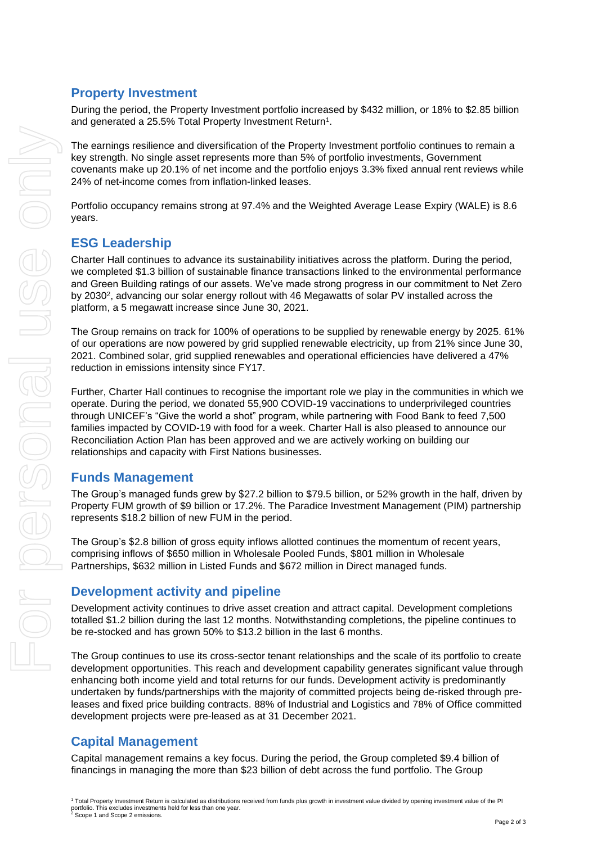#### **Property Investment**

During the period, the Property Investment portfolio increased by \$432 million, or 18% to \$2.85 billion and generated a 25.5% Total Property Investment Return<sup>1</sup>.

The earnings resilience and diversification of the Property Investment portfolio continues to remain a key strength. No single asset represents more than 5% of portfolio investments, Government covenants make up 20.1% of net income and the portfolio enjoys 3.3% fixed annual rent reviews while 24% of net-income comes from inflation-linked leases.

Portfolio occupancy remains strong at 97.4% and the Weighted Average Lease Expiry (WALE) is 8.6 years.

### **ESG Leadership**

Charter Hall continues to advance its sustainability initiatives across the platform. During the period, we completed \$1.3 billion of sustainable finance transactions linked to the environmental performance and Green Building ratings of our assets. We've made strong progress in our commitment to Net Zero by 2030<sup>2</sup>, advancing our solar energy rollout with 46 Megawatts of solar PV installed across the platform, a 5 megawatt increase since June 30, 2021.

The Group remains on track for 100% of operations to be supplied by renewable energy by 2025. 61% of our operations are now powered by grid supplied renewable electricity, up from 21% since June 30, 2021. Combined solar, grid supplied renewables and operational efficiencies have delivered a 47% reduction in emissions intensity since FY17.

Further, Charter Hall continues to recognise the important role we play in the communities in which we operate. During the period, we donated 55,900 COVID-19 vaccinations to underprivileged countries through UNICEF's "Give the world a shot" program, while partnering with Food Bank to feed 7,500 families impacted by COVID-19 with food for a week. Charter Hall is also pleased to announce our Reconciliation Action Plan has been approved and we are actively working on building our relationships and capacity with First Nations businesses.

#### **Funds Management**

The Group's managed funds grew by \$27.2 billion to \$79.5 billion, or 52% growth in the half, driven by Property FUM growth of \$9 billion or 17.2%. The Paradice Investment Management (PIM) partnership represents \$18.2 billion of new FUM in the period.

The Group's \$2.8 billion of gross equity inflows allotted continues the momentum of recent years, comprising inflows of \$650 million in Wholesale Pooled Funds, \$801 million in Wholesale Partnerships, \$632 million in Listed Funds and \$672 million in Direct managed funds.

#### **Development activity and pipeline**

Development activity continues to drive asset creation and attract capital. Development completions totalled \$1.2 billion during the last 12 months. Notwithstanding completions, the pipeline continues to be re-stocked and has grown 50% to \$13.2 billion in the last 6 months.

The Group continues to use its cross-sector tenant relationships and the scale of its portfolio to create development opportunities. This reach and development capability generates significant value through enhancing both income yield and total returns for our funds. Development activity is predominantly undertaken by funds/partnerships with the majority of committed projects being de-risked through preleases and fixed price building contracts. 88% of Industrial and Logistics and 78% of Office committed development projects were pre-leased as at 31 December 2021.

## **Capital Management**

Capital management remains a key focus. During the period, the Group completed \$9.4 billion of financings in managing the more than \$23 billion of debt across the fund portfolio. The Group